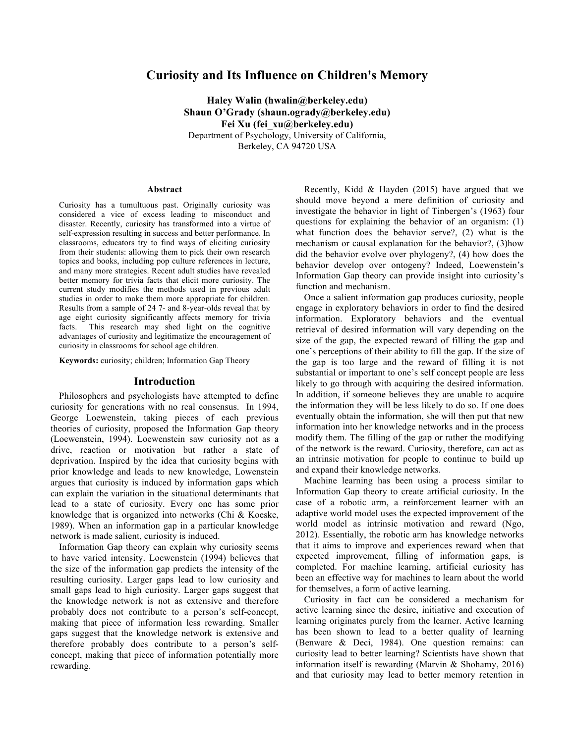# **Curiosity and Its Influence on Children's Memory**

**Haley Walin (hwalin@berkeley.edu) Shaun O'Grady (shaun.ogrady@berkeley.edu) Fei Xu (fei\_xu@berkeley.edu)** Department of Psychology, University of California,

Berkeley, CA 94720 USA

#### **Abstract**

Curiosity has a tumultuous past. Originally curiosity was considered a vice of excess leading to misconduct and disaster. Recently, curiosity has transformed into a virtue of self-expression resulting in success and better performance. In classrooms, educators try to find ways of eliciting curiosity from their students: allowing them to pick their own research topics and books, including pop culture references in lecture, and many more strategies. Recent adult studies have revealed better memory for trivia facts that elicit more curiosity. The current study modifies the methods used in previous adult studies in order to make them more appropriate for children. Results from a sample of 24 7- and 8-year-olds reveal that by age eight curiosity significantly affects memory for trivia facts. This research may shed light on the cognitive advantages of curiosity and legitimatize the encouragement of curiosity in classrooms for school age children.

**Keywords:** curiosity; children; Information Gap Theory

#### **Introduction**

Philosophers and psychologists have attempted to define curiosity for generations with no real consensus. In 1994, George Loewenstein, taking pieces of each previous theories of curiosity, proposed the Information Gap theory (Loewenstein, 1994). Loewenstein saw curiosity not as a drive, reaction or motivation but rather a state of deprivation. Inspired by the idea that curiosity begins with prior knowledge and leads to new knowledge, Lowenstein argues that curiosity is induced by information gaps which can explain the variation in the situational determinants that lead to a state of curiosity. Every one has some prior knowledge that is organized into networks (Chi & Koeske, 1989). When an information gap in a particular knowledge network is made salient, curiosity is induced.

Information Gap theory can explain why curiosity seems to have varied intensity. Loewenstein (1994) believes that the size of the information gap predicts the intensity of the resulting curiosity. Larger gaps lead to low curiosity and small gaps lead to high curiosity. Larger gaps suggest that the knowledge network is not as extensive and therefore probably does not contribute to a person's self-concept, making that piece of information less rewarding. Smaller gaps suggest that the knowledge network is extensive and therefore probably does contribute to a person's selfconcept, making that piece of information potentially more rewarding.

Recently, Kidd & Hayden (2015) have argued that we should move beyond a mere definition of curiosity and investigate the behavior in light of Tinbergen's (1963) four questions for explaining the behavior of an organism: (1) what function does the behavior serve?, (2) what is the mechanism or causal explanation for the behavior?, (3)how did the behavior evolve over phylogeny?, (4) how does the behavior develop over ontogeny? Indeed, Loewenstein's Information Gap theory can provide insight into curiosity's function and mechanism.

Once a salient information gap produces curiosity, people engage in exploratory behaviors in order to find the desired information. Exploratory behaviors and the eventual retrieval of desired information will vary depending on the size of the gap, the expected reward of filling the gap and one's perceptions of their ability to fill the gap. If the size of the gap is too large and the reward of filling it is not substantial or important to one's self concept people are less likely to go through with acquiring the desired information. In addition, if someone believes they are unable to acquire the information they will be less likely to do so. If one does eventually obtain the information, she will then put that new information into her knowledge networks and in the process modify them. The filling of the gap or rather the modifying of the network is the reward. Curiosity, therefore, can act as an intrinsic motivation for people to continue to build up and expand their knowledge networks.

Machine learning has been using a process similar to Information Gap theory to create artificial curiosity. In the case of a robotic arm, a reinforcement learner with an adaptive world model uses the expected improvement of the world model as intrinsic motivation and reward (Ngo, 2012). Essentially, the robotic arm has knowledge networks that it aims to improve and experiences reward when that expected improvement, filling of information gaps, is completed. For machine learning, artificial curiosity has been an effective way for machines to learn about the world for themselves, a form of active learning.

Curiosity in fact can be considered a mechanism for active learning since the desire, initiative and execution of learning originates purely from the learner. Active learning has been shown to lead to a better quality of learning (Benware & Deci, 1984). One question remains: can curiosity lead to better learning? Scientists have shown that information itself is rewarding (Marvin & Shohamy, 2016) and that curiosity may lead to better memory retention in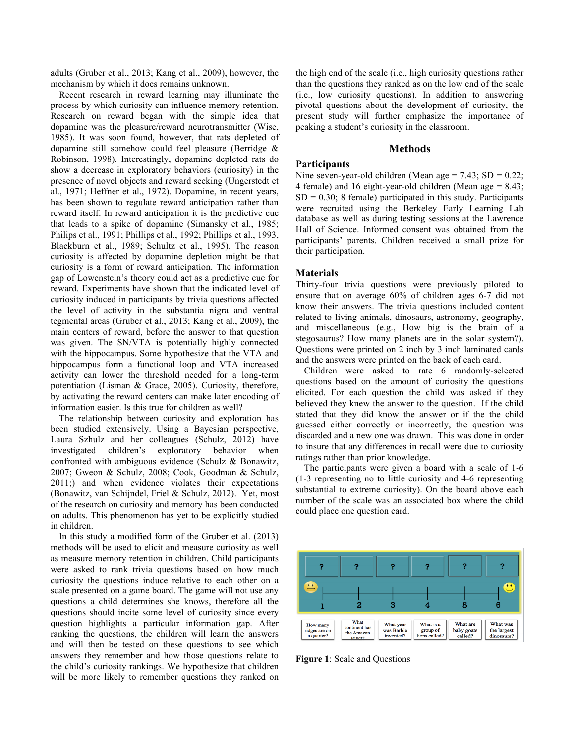adults (Gruber et al., 2013; Kang et al., 2009), however, the mechanism by which it does remains unknown.

Recent research in reward learning may illuminate the process by which curiosity can influence memory retention. Research on reward began with the simple idea that dopamine was the pleasure/reward neurotransmitter (Wise, 1985). It was soon found, however, that rats depleted of dopamine still somehow could feel pleasure (Berridge & Robinson, 1998). Interestingly, dopamine depleted rats do show a decrease in exploratory behaviors (curiosity) in the presence of novel objects and reward seeking (Ungerstedt et al., 1971; Heffner et al., 1972). Dopamine, in recent years, has been shown to regulate reward anticipation rather than reward itself. In reward anticipation it is the predictive cue that leads to a spike of dopamine (Simansky et al., 1985; Philips et al., 1991; Phillips et al., 1992; Phillips et al., 1993, Blackburn et al., 1989; Schultz et al., 1995). The reason curiosity is affected by dopamine depletion might be that curiosity is a form of reward anticipation. The information gap of Lowenstein's theory could act as a predictive cue for reward. Experiments have shown that the indicated level of curiosity induced in participants by trivia questions affected the level of activity in the substantia nigra and ventral tegmental areas (Gruber et al., 2013; Kang et al., 2009), the main centers of reward, before the answer to that question was given. The SN/VTA is potentially highly connected with the hippocampus. Some hypothesize that the VTA and hippocampus form a functional loop and VTA increased activity can lower the threshold needed for a long-term potentiation (Lisman & Grace, 2005). Curiosity, therefore, by activating the reward centers can make later encoding of information easier. Is this true for children as well?

The relationship between curiosity and exploration has been studied extensively. Using a Bayesian perspective, Laura Szhulz and her colleagues (Schulz, 2012) have investigated children's exploratory behavior when confronted with ambiguous evidence (Schulz & Bonawitz, 2007; Gweon & Schulz, 2008; Cook, Goodman & Schulz, 2011;) and when evidence violates their expectations (Bonawitz, van Schijndel, Friel & Schulz, 2012). Yet, most of the research on curiosity and memory has been conducted on adults. This phenomenon has yet to be explicitly studied in children.

In this study a modified form of the Gruber et al. (2013) methods will be used to elicit and measure curiosity as well as measure memory retention in children. Child participants were asked to rank trivia questions based on how much curiosity the questions induce relative to each other on a scale presented on a game board. The game will not use any questions a child determines she knows, therefore all the questions should incite some level of curiosity since every question highlights a particular information gap. After ranking the questions, the children will learn the answers and will then be tested on these questions to see which answers they remember and how those questions relate to the child's curiosity rankings. We hypothesize that children will be more likely to remember questions they ranked on

the high end of the scale (i.e., high curiosity questions rather than the questions they ranked as on the low end of the scale (i.e., low curiosity questions). In addition to answering pivotal questions about the development of curiosity, the present study will further emphasize the importance of peaking a student's curiosity in the classroom.

# **Methods**

# **Participants**

Nine seven-year-old children (Mean age  $= 7.43$ ; SD  $= 0.22$ ; 4 female) and 16 eight-year-old children (Mean age = 8.43;  $SD = 0.30$ ; 8 female) participated in this study. Participants were recruited using the Berkeley Early Learning Lab database as well as during testing sessions at the Lawrence Hall of Science. Informed consent was obtained from the participants' parents. Children received a small prize for their participation.

# **Materials**

Thirty-four trivia questions were previously piloted to ensure that on average 60% of children ages 6-7 did not know their answers. The trivia questions included content related to living animals, dinosaurs, astronomy, geography, and miscellaneous (e.g., How big is the brain of a stegosaurus? How many planets are in the solar system?). Questions were printed on 2 inch by 3 inch laminated cards and the answers were printed on the back of each card.

Children were asked to rate 6 randomly-selected questions based on the amount of curiosity the questions elicited. For each question the child was asked if they believed they knew the answer to the question. If the child stated that they did know the answer or if the the child guessed either correctly or incorrectly, the question was discarded and a new one was drawn. This was done in order to insure that any differences in recall were due to curiosity ratings rather than prior knowledge.

The participants were given a board with a scale of 1-6 (1-3 representing no to little curiosity and 4-6 representing substantial to extreme curiosity). On the board above each number of the scale was an associated box where the child could place one question card.



**Figure 1**: Scale and Questions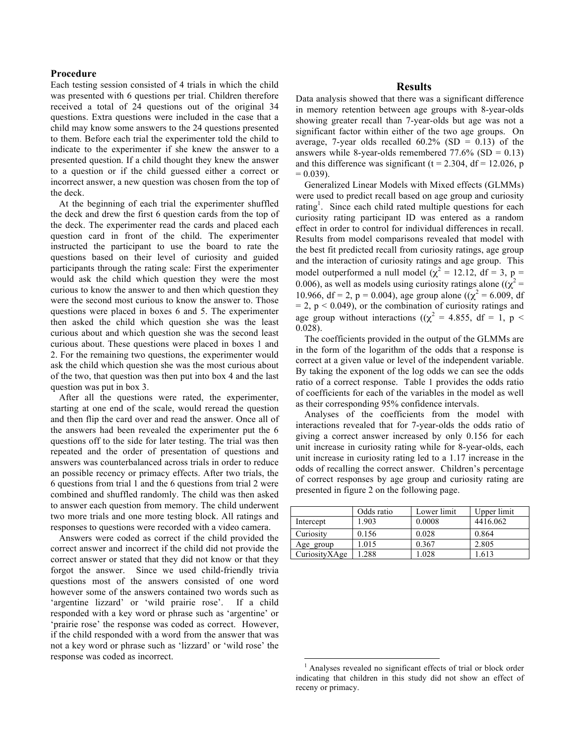#### **Procedure**

Each testing session consisted of 4 trials in which the child was presented with 6 questions per trial. Children therefore received a total of 24 questions out of the original 34 questions. Extra questions were included in the case that a child may know some answers to the 24 questions presented to them. Before each trial the experimenter told the child to indicate to the experimenter if she knew the answer to a presented question. If a child thought they knew the answer to a question or if the child guessed either a correct or incorrect answer, a new question was chosen from the top of the deck.

At the beginning of each trial the experimenter shuffled the deck and drew the first 6 question cards from the top of the deck. The experimenter read the cards and placed each question card in front of the child. The experimenter instructed the participant to use the board to rate the questions based on their level of curiosity and guided participants through the rating scale: First the experimenter would ask the child which question they were the most curious to know the answer to and then which question they were the second most curious to know the answer to. Those questions were placed in boxes 6 and 5. The experimenter then asked the child which question she was the least curious about and which question she was the second least curious about. These questions were placed in boxes 1 and 2. For the remaining two questions, the experimenter would ask the child which question she was the most curious about of the two, that question was then put into box 4 and the last question was put in box 3.

After all the questions were rated, the experimenter, starting at one end of the scale, would reread the question and then flip the card over and read the answer. Once all of the answers had been revealed the experimenter put the 6 questions off to the side for later testing. The trial was then repeated and the order of presentation of questions and answers was counterbalanced across trials in order to reduce an possible recency or primacy effects. After two trials, the 6 questions from trial 1 and the 6 questions from trial 2 were combined and shuffled randomly. The child was then asked to answer each question from memory. The child underwent two more trials and one more testing block. All ratings and responses to questions were recorded with a video camera.

Answers were coded as correct if the child provided the correct answer and incorrect if the child did not provide the correct answer or stated that they did not know or that they forgot the answer. Since we used child-friendly trivia questions most of the answers consisted of one word however some of the answers contained two words such as 'argentine lizzard' or 'wild prairie rose'. If a child responded with a key word or phrase such as 'argentine' or 'prairie rose' the response was coded as correct. However, if the child responded with a word from the answer that was not a key word or phrase such as 'lizzard' or 'wild rose' the response was coded as incorrect.

## **Results**

Data analysis showed that there was a significant difference in memory retention between age groups with 8-year-olds showing greater recall than 7-year-olds but age was not a significant factor within either of the two age groups. On average, 7-year olds recalled  $60.2\%$  (SD = 0.13) of the answers while 8-year-olds remembered  $77.6\%$  (SD = 0.13) and this difference was significant ( $t = 2.304$ ,  $df = 12.026$ , p  $= 0.039$ ).

Generalized Linear Models with Mixed effects (GLMMs) were used to predict recall based on age group and curiosity rating<sup>1</sup>. Since each child rated multiple questions for each curiosity rating participant ID was entered as a random effect in order to control for individual differences in recall. Results from model comparisons revealed that model with the best fit predicted recall from curiosity ratings, age group and the interaction of curiosity ratings and age group. This model outperformed a null model ( $\chi^2$  = 12.12, df = 3, p = 0.006), as well as models using curiosity ratings alone ( $(\chi^2 =$ 10.966, df = 2, p = 0.004), age group alone (( $\chi^2$  = 6.009, df  $= 2$ ,  $p < 0.049$ ), or the combination of curiosity ratings and age group without interactions (( $\chi^2$  = 4.855, df = 1, p < 0.028).

The coefficients provided in the output of the GLMMs are in the form of the logarithm of the odds that a response is correct at a given value or level of the independent variable. By taking the exponent of the log odds we can see the odds ratio of a correct response. Table 1 provides the odds ratio of coefficients for each of the variables in the model as well as their corresponding 95% confidence intervals.

Analyses of the coefficients from the model with interactions revealed that for 7-year-olds the odds ratio of giving a correct answer increased by only 0.156 for each unit increase in curiosity rating while for 8-year-olds, each unit increase in curiosity rating led to a 1.17 increase in the odds of recalling the correct answer. Children's percentage of correct responses by age group and curiosity rating are presented in figure 2 on the following page.

|               | Odds ratio | Lower limit | Upper limit |
|---------------|------------|-------------|-------------|
| Intercept     | 1.903      | 0.0008      | 4416.062    |
| Curiosity     | 0.156      | 0.028       | 0.864       |
| Age group     | 1.015      | 0.367       | 2.805       |
| CuriosityXAge | 1.288      | 1.028       | .613        |

 <sup>1</sup> Analyses revealed no significant effects of trial or block order indicating that children in this study did not show an effect of receny or primacy.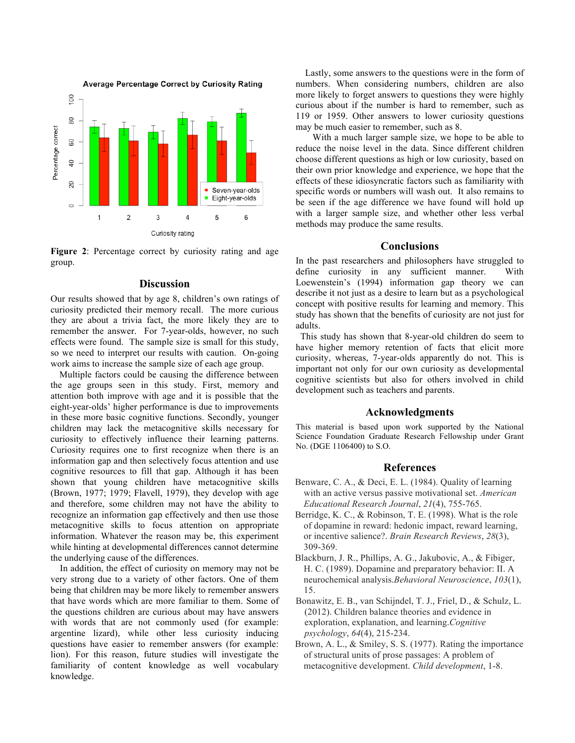

**Figure 2**: Percentage correct by curiosity rating and age group.

## **Discussion**

Our results showed that by age 8, children's own ratings of curiosity predicted their memory recall. The more curious they are about a trivia fact, the more likely they are to remember the answer. For 7-year-olds, however, no such effects were found. The sample size is small for this study, so we need to interpret our results with caution. On-going work aims to increase the sample size of each age group.

Multiple factors could be causing the difference between the age groups seen in this study. First, memory and attention both improve with age and it is possible that the eight-year-olds' higher performance is due to improvements in these more basic cognitive functions. Secondly, younger children may lack the metacognitive skills necessary for curiosity to effectively influence their learning patterns. Curiosity requires one to first recognize when there is an information gap and then selectively focus attention and use cognitive resources to fill that gap. Although it has been shown that young children have metacognitive skills (Brown, 1977; 1979; Flavell, 1979), they develop with age and therefore, some children may not have the ability to recognize an information gap effectively and then use those metacognitive skills to focus attention on appropriate information. Whatever the reason may be, this experiment while hinting at developmental differences cannot determine the underlying cause of the differences.

 In addition, the effect of curiosity on memory may not be very strong due to a variety of other factors. One of them being that children may be more likely to remember answers that have words which are more familiar to them. Some of the questions children are curious about may have answers with words that are not commonly used (for example: argentine lizard), while other less curiosity inducing questions have easier to remember answers (for example: lion). For this reason, future studies will investigate the familiarity of content knowledge as well vocabulary knowledge.

 Lastly, some answers to the questions were in the form of numbers. When considering numbers, children are also more likely to forget answers to questions they were highly curious about if the number is hard to remember, such as 119 or 1959. Other answers to lower curiosity questions may be much easier to remember, such as 8.

With a much larger sample size, we hope to be able to reduce the noise level in the data. Since different children choose different questions as high or low curiosity, based on their own prior knowledge and experience, we hope that the effects of these idiosyncratic factors such as familiarity with specific words or numbers will wash out. It also remains to be seen if the age difference we have found will hold up with a larger sample size, and whether other less verbal methods may produce the same results.

#### **Conclusions**

In the past researchers and philosophers have struggled to define curiosity in any sufficient manner. With Loewenstein's (1994) information gap theory we can describe it not just as a desire to learn but as a psychological concept with positive results for learning and memory. This study has shown that the benefits of curiosity are not just for adults.

 This study has shown that 8-year-old children do seem to have higher memory retention of facts that elicit more curiosity, whereas, 7-year-olds apparently do not. This is important not only for our own curiosity as developmental cognitive scientists but also for others involved in child development such as teachers and parents.

## **Acknowledgments**

This material is based upon work supported by the National Science Foundation Graduate Research Fellowship under Grant No. (DGE 1106400) to S.O.

#### **References**

- Benware, C. A., & Deci, E. L. (1984). Quality of learning with an active versus passive motivational set. *American Educational Research Journal*, *21*(4), 755-765.
- Berridge, K. C., & Robinson, T. E. (1998). What is the role of dopamine in reward: hedonic impact, reward learning, or incentive salience?. *Brain Research Reviews*, *28*(3), 309-369.
- Blackburn, J. R., Phillips, A. G., Jakubovic, A., & Fibiger, H. C. (1989). Dopamine and preparatory behavior: II. A neurochemical analysis.*Behavioral Neuroscience*, *103*(1), 15.
- Bonawitz, E. B., van Schijndel, T. J., Friel, D., & Schulz, L. (2012). Children balance theories and evidence in exploration, explanation, and learning.*Cognitive psychology*, *64*(4), 215-234.
- Brown, A. L., & Smiley, S. S. (1977). Rating the importance of structural units of prose passages: A problem of metacognitive development. *Child development*, 1-8.